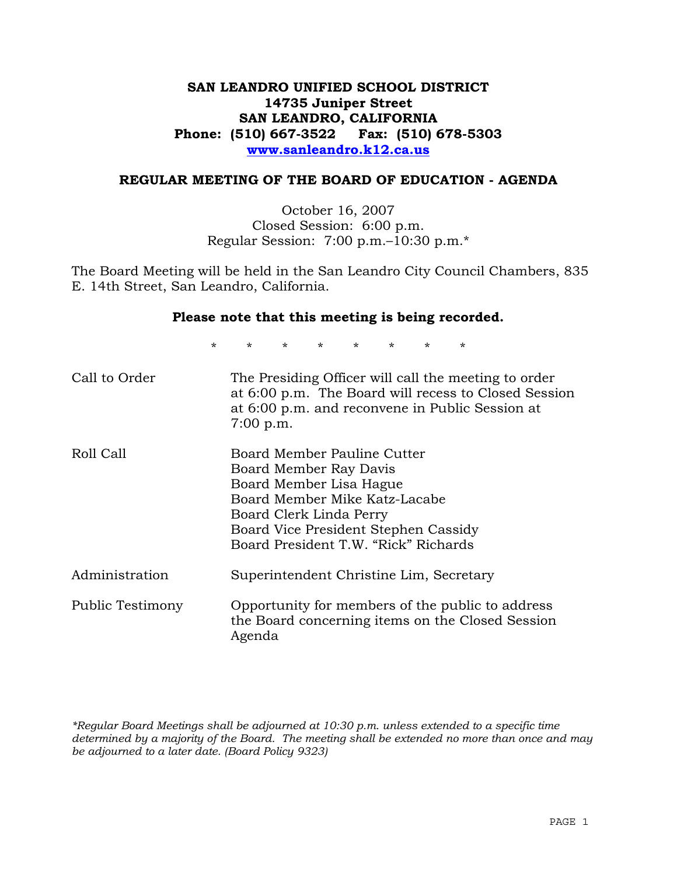# **SAN LEANDRO UNIFIED SCHOOL DISTRICT 14735 Juniper Street SAN LEANDRO, CALIFORNIA Phone: (510) 667-3522 Fax: (510) 678-5303 www.sanleandro.k12.ca.us**

### **REGULAR MEETING OF THE BOARD OF EDUCATION - AGENDA**

October 16, 2007 Closed Session: 6:00 p.m. Regular Session: 7:00 p.m.–10:30 p.m.\*

The Board Meeting will be held in the San Leandro City Council Chambers, 835 E. 14th Street, San Leandro, California.

#### **Please note that this meeting is being recorded.**

\* \* \* \* \* \* \* \*

| Call to Order    | The Presiding Officer will call the meeting to order<br>at 6:00 p.m. The Board will recess to Closed Session<br>at 6:00 p.m. and reconvene in Public Session at<br>$7:00$ p.m.                                               |
|------------------|------------------------------------------------------------------------------------------------------------------------------------------------------------------------------------------------------------------------------|
| Roll Call        | Board Member Pauline Cutter<br>Board Member Ray Davis<br>Board Member Lisa Hague<br>Board Member Mike Katz-Lacabe<br>Board Clerk Linda Perry<br>Board Vice President Stephen Cassidy<br>Board President T.W. "Rick" Richards |
| Administration   | Superintendent Christine Lim, Secretary                                                                                                                                                                                      |
| Public Testimony | Opportunity for members of the public to address<br>the Board concerning items on the Closed Session<br>Agenda                                                                                                               |

*\*Regular Board Meetings shall be adjourned at 10:30 p.m. unless extended to a specific time determined by a majority of the Board. The meeting shall be extended no more than once and may be adjourned to a later date. (Board Policy 9323)*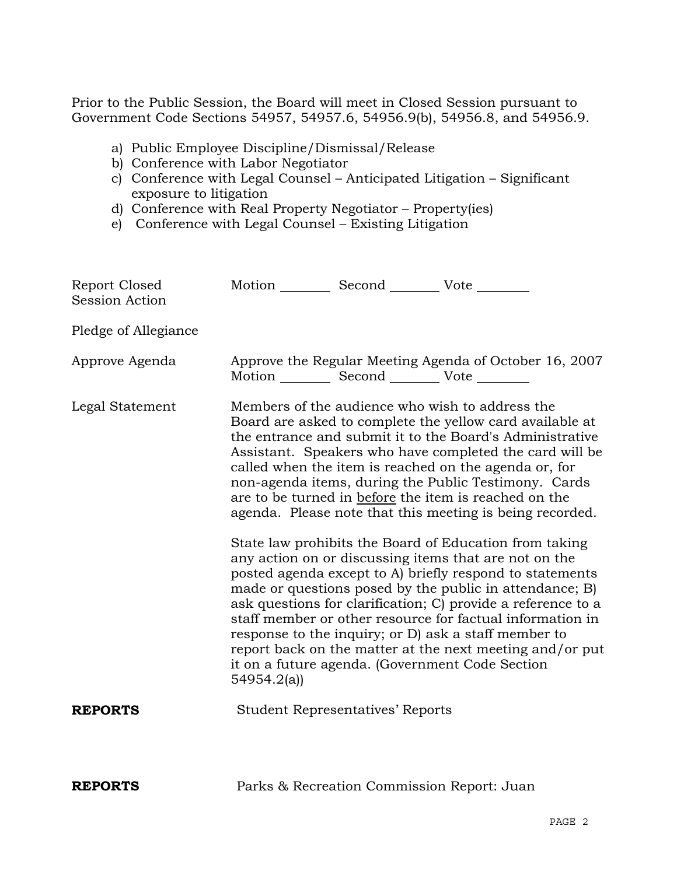Prior to the Public Session, the Board will meet in Closed Session pursuant to Government Code Sections 54957, 54957.6, 54956.9(b), 54956.8, and 54956.9.

- a) Public Employee Discipline/Dismissal/Release
- b) Conference with Labor Negotiator
- c) Conference with Legal Counsel Anticipated Litigation Significant exposure to litigation
- d) Conference with Real Property Negotiator Property(ies)
- e) Conference with Legal Counsel Existing Litigation

| Report Closed<br><b>Session Action</b> | Motion Second Vote                                                                                                                                                                                                                                                                                                                                                                                                                                                                                                                                       |                                                   |                                                        |
|----------------------------------------|----------------------------------------------------------------------------------------------------------------------------------------------------------------------------------------------------------------------------------------------------------------------------------------------------------------------------------------------------------------------------------------------------------------------------------------------------------------------------------------------------------------------------------------------------------|---------------------------------------------------|--------------------------------------------------------|
| Pledge of Allegiance                   |                                                                                                                                                                                                                                                                                                                                                                                                                                                                                                                                                          |                                                   |                                                        |
| Approve Agenda                         |                                                                                                                                                                                                                                                                                                                                                                                                                                                                                                                                                          | Motion __________ Second __________ Vote ________ | Approve the Regular Meeting Agenda of October 16, 2007 |
| Legal Statement                        | Members of the audience who wish to address the<br>Board are asked to complete the yellow card available at<br>the entrance and submit it to the Board's Administrative<br>Assistant. Speakers who have completed the card will be<br>called when the item is reached on the agenda or, for<br>non-agenda items, during the Public Testimony. Cards<br>are to be turned in before the item is reached on the<br>agenda. Please note that this meeting is being recorded.                                                                                 |                                                   |                                                        |
|                                        | State law prohibits the Board of Education from taking<br>any action on or discussing items that are not on the<br>posted agenda except to A) briefly respond to statements<br>made or questions posed by the public in attendance; B)<br>ask questions for clarification; C) provide a reference to a<br>staff member or other resource for factual information in<br>response to the inquiry; or D) ask a staff member to<br>report back on the matter at the next meeting and/or put<br>it on a future agenda. (Government Code Section<br>54954.2(a) |                                                   |                                                        |
| <b>REPORTS</b>                         |                                                                                                                                                                                                                                                                                                                                                                                                                                                                                                                                                          | <b>Student Representatives' Reports</b>           |                                                        |
| <b>REPORTS</b>                         |                                                                                                                                                                                                                                                                                                                                                                                                                                                                                                                                                          | Parks & Recreation Commission Report: Juan        |                                                        |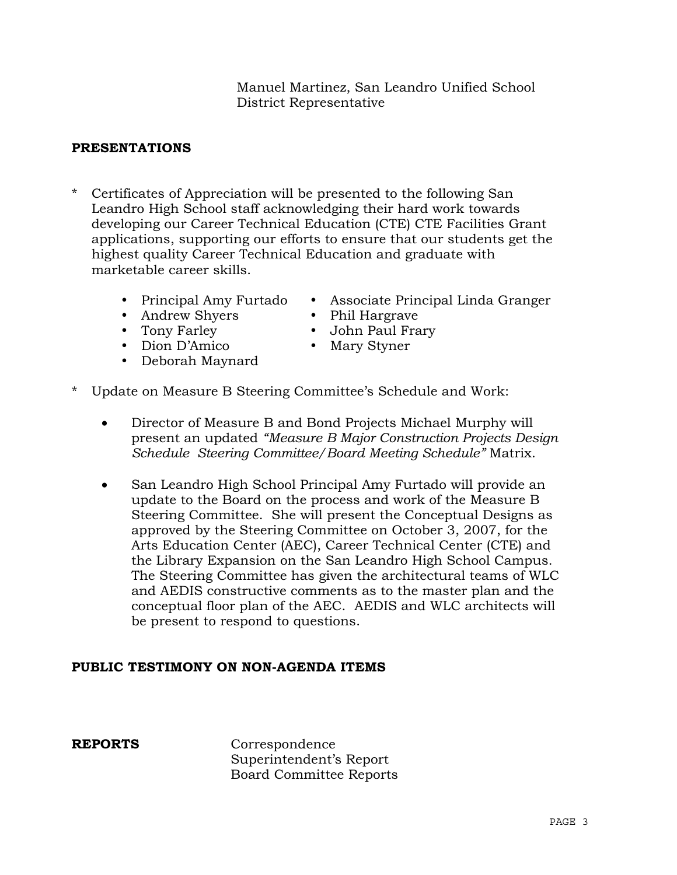# Manuel Martinez, San Leandro Unified School District Representative

# **PRESENTATIONS**

- \* Certificates of Appreciation will be presented to the following San Leandro High School staff acknowledging their hard work towards developing our Career Technical Education (CTE) CTE Facilities Grant applications, supporting our efforts to ensure that our students get the highest quality Career Technical Education and graduate with marketable career skills.
	-
	- Andrew Shyers Phil Hargrave
	-
	- Dion D'Amico Mary Styner
	- Deborah Maynard
	- Principal Amy Furtado Associate Principal Linda Granger
		-
	- Tony Farley **\*** John Paul Frary
		-
- \* Update on Measure B Steering Committee's Schedule and Work:
	- Director of Measure B and Bond Projects Michael Murphy will present an updated *"Measure B Major Construction Projects Design Schedule Steering Committee/Board Meeting Schedule"* Matrix.
	- San Leandro High School Principal Amy Furtado will provide an update to the Board on the process and work of the Measure B Steering Committee. She will present the Conceptual Designs as approved by the Steering Committee on October 3, 2007, for the Arts Education Center (AEC), Career Technical Center (CTE) and the Library Expansion on the San Leandro High School Campus. The Steering Committee has given the architectural teams of WLC and AEDIS constructive comments as to the master plan and the conceptual floor plan of the AEC. AEDIS and WLC architects will be present to respond to questions.

# **PUBLIC TESTIMONY ON NON-AGENDA ITEMS**

**REPORTS** Correspondence Superintendent's Report Board Committee Reports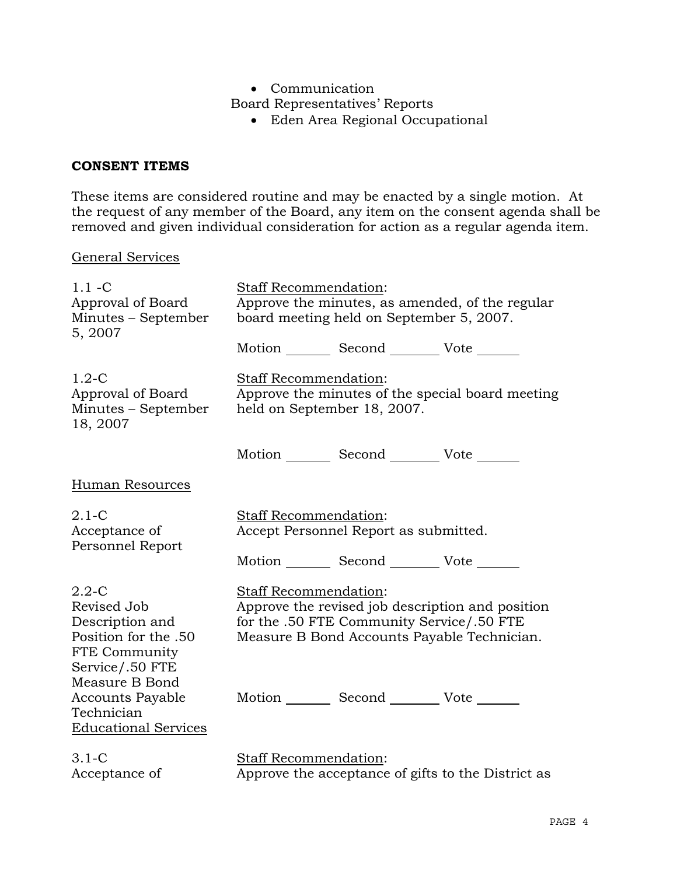• Communication

Board Representatives' Reports

• Eden Area Regional Occupational

# **CONSENT ITEMS**

These items are considered routine and may be enacted by a single motion. At the request of any member of the Board, any item on the consent agenda shall be removed and given individual consideration for action as a regular agenda item.

### General Services

| $1.1 - C$<br>Approval of Board<br>Minutes - September<br>5, 2007                                                          | Staff Recommendation:<br>Approve the minutes, as amended, of the regular<br>board meeting held on September 5, 2007.                                                  |  |                                                    |
|---------------------------------------------------------------------------------------------------------------------------|-----------------------------------------------------------------------------------------------------------------------------------------------------------------------|--|----------------------------------------------------|
|                                                                                                                           | Motion _________ Second __________ Vote _______                                                                                                                       |  |                                                    |
| $1.2-C$<br>Approval of Board<br>Minutes - September<br>18, 2007                                                           | <b>Staff Recommendation:</b><br>Approve the minutes of the special board meeting<br>held on September 18, 2007.                                                       |  |                                                    |
|                                                                                                                           | Motion _________ Second __________ Vote _______                                                                                                                       |  |                                                    |
| <b>Human Resources</b>                                                                                                    |                                                                                                                                                                       |  |                                                    |
| $2.1-C$<br>Acceptance of<br>Personnel Report                                                                              | Staff Recommendation:<br>Accept Personnel Report as submitted.                                                                                                        |  |                                                    |
|                                                                                                                           | Motion Second Vote                                                                                                                                                    |  |                                                    |
| $2.2 - C$<br>Revised Job<br>Description and<br>Position for the .50<br>FTE Community<br>Service/.50 FTE<br>Measure B Bond | Staff Recommendation:<br>Approve the revised job description and position<br>for the .50 FTE Community Service/.50 FTE<br>Measure B Bond Accounts Payable Technician. |  |                                                    |
| <b>Accounts Payable</b><br>Technician<br><b>Educational Services</b>                                                      | Motion _________ Second _________ Vote _______                                                                                                                        |  |                                                    |
| $3.1-C$<br>Acceptance of                                                                                                  | <b>Staff Recommendation:</b>                                                                                                                                          |  | Approve the acceptance of gifts to the District as |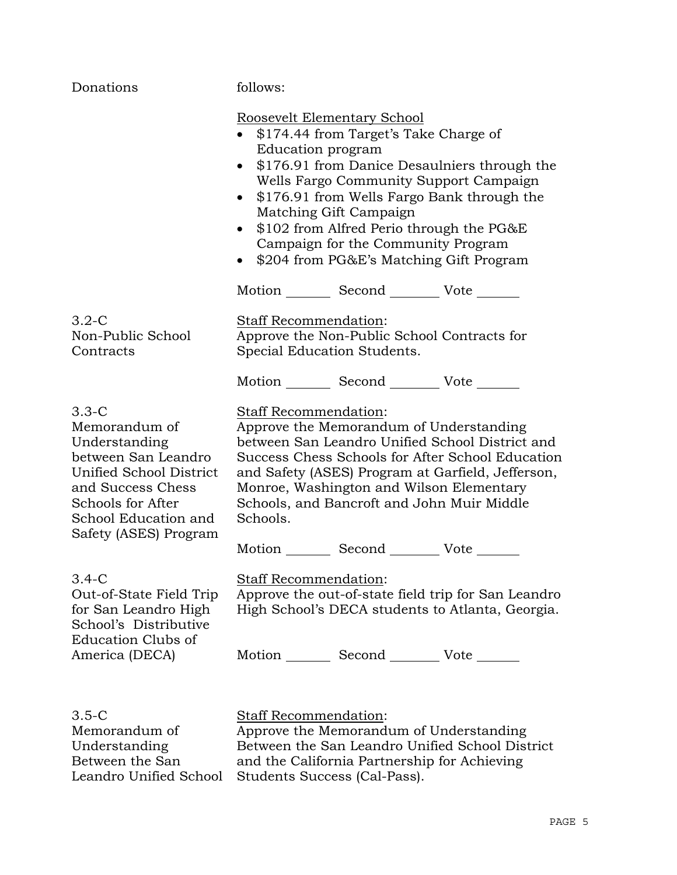| Donations                                                                                                                                                                              | follows:                                                                                                                                                                                                                                                                                                                                                                                                                               |  |  |
|----------------------------------------------------------------------------------------------------------------------------------------------------------------------------------------|----------------------------------------------------------------------------------------------------------------------------------------------------------------------------------------------------------------------------------------------------------------------------------------------------------------------------------------------------------------------------------------------------------------------------------------|--|--|
|                                                                                                                                                                                        | <b>Roosevelt Elementary School</b><br>\$174.44 from Target's Take Charge of<br>Education program<br>\$176.91 from Danice Desaulniers through the<br>$\bullet$<br>Wells Fargo Community Support Campaign<br>\$176.91 from Wells Fargo Bank through the<br>$\bullet$<br>Matching Gift Campaign<br>\$102 from Alfred Perio through the PG&E<br>$\bullet$<br>Campaign for the Community Program<br>\$204 from PG&E's Matching Gift Program |  |  |
|                                                                                                                                                                                        | Motion _________ Second __________ Vote _______                                                                                                                                                                                                                                                                                                                                                                                        |  |  |
| $3.2-C$<br>Non-Public School<br>Contracts                                                                                                                                              | Staff Recommendation:<br>Approve the Non-Public School Contracts for<br>Special Education Students.                                                                                                                                                                                                                                                                                                                                    |  |  |
|                                                                                                                                                                                        | Motion _________ Second __________ Vote _______                                                                                                                                                                                                                                                                                                                                                                                        |  |  |
| $3.3-C$<br>Memorandum of<br>Understanding<br>between San Leandro<br>Unified School District<br>and Success Chess<br>Schools for After<br>School Education and<br>Safety (ASES) Program | <b>Staff Recommendation:</b><br>Approve the Memorandum of Understanding<br>between San Leandro Unified School District and<br>Success Chess Schools for After School Education<br>and Safety (ASES) Program at Garfield, Jefferson,<br>Monroe, Washington and Wilson Elementary<br>Schools, and Bancroft and John Muir Middle<br>Schools.<br>Motion _________ Second __________ Vote _____                                             |  |  |
| $3.4-C$<br>Out-of-State Field Trip<br>for San Leandro High<br>School's Distributive<br><b>Education Clubs of</b>                                                                       | <b>Staff Recommendation:</b><br>Approve the out-of-state field trip for San Leandro<br>High School's DECA students to Atlanta, Georgia.                                                                                                                                                                                                                                                                                                |  |  |
| America (DECA)                                                                                                                                                                         | Motion _________ Second __________ Vote _______                                                                                                                                                                                                                                                                                                                                                                                        |  |  |
| $3.5-C$<br>Memorandum of                                                                                                                                                               | Staff Recommendation:<br>Approve the Memorandum of Understanding                                                                                                                                                                                                                                                                                                                                                                       |  |  |

Understanding Between the San

Leandro Unified School Students Success (Cal-Pass).

Between the San Leandro Unified School District and the California Partnership for Achieving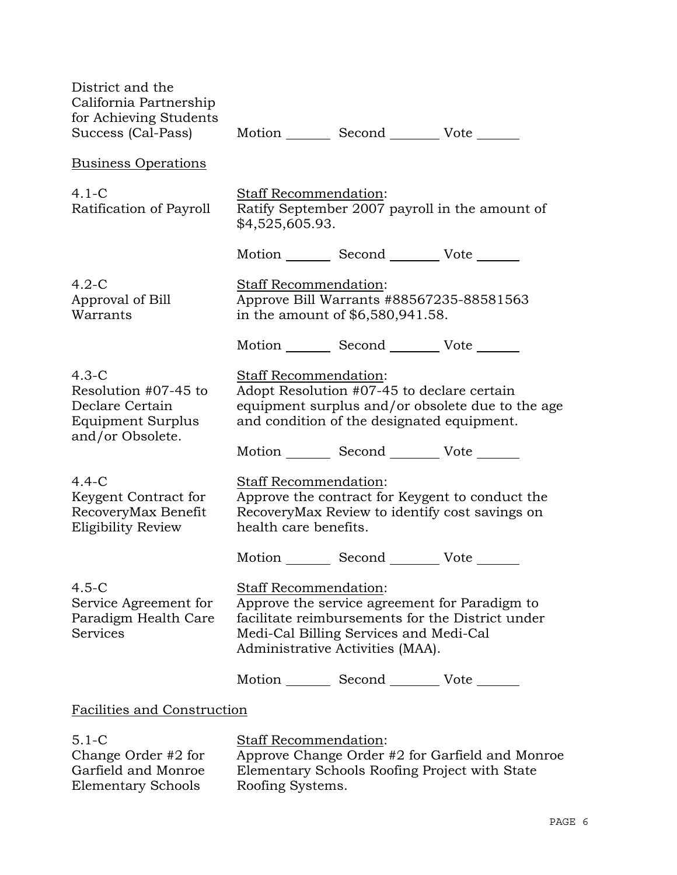| District and the<br>California Partnership<br>for Achieving Students<br>Success (Cal-Pass)  |                                                                                                                                                                                                          | Motion _________ Second __________ Vote _______                              |                                                                                                   |
|---------------------------------------------------------------------------------------------|----------------------------------------------------------------------------------------------------------------------------------------------------------------------------------------------------------|------------------------------------------------------------------------------|---------------------------------------------------------------------------------------------------|
| <b>Business Operations</b>                                                                  |                                                                                                                                                                                                          |                                                                              |                                                                                                   |
| $4.1-C$<br>Ratification of Payroll                                                          | <b>Staff Recommendation:</b><br>Ratify September 2007 payroll in the amount of<br>\$4,525,605.93.                                                                                                        |                                                                              |                                                                                                   |
|                                                                                             |                                                                                                                                                                                                          | Motion _________ Second ___________ Vote _______                             |                                                                                                   |
| $4.2-C$<br>Approval of Bill<br>Warrants                                                     | Staff Recommendation:                                                                                                                                                                                    | Approve Bill Warrants #88567235-88581563<br>in the amount of \$6,580,941.58. |                                                                                                   |
|                                                                                             |                                                                                                                                                                                                          | Motion _________ Second __________ Vote _______                              |                                                                                                   |
| $4.3-C$<br>Resolution #07-45 to<br>Declare Certain<br>Equipment Surplus<br>and/or Obsolete. | Staff Recommendation:<br>Adopt Resolution #07-45 to declare certain<br>equipment surplus and/or obsolete due to the age<br>and condition of the designated equipment.                                    |                                                                              |                                                                                                   |
|                                                                                             |                                                                                                                                                                                                          | Motion _________ Second __________ Vote _______                              |                                                                                                   |
| $4.4-C$<br>Keygent Contract for<br>RecoveryMax Benefit<br>Eligibility Review                | Staff Recommendation:<br>health care benefits.                                                                                                                                                           |                                                                              | Approve the contract for Keygent to conduct the<br>RecoveryMax Review to identify cost savings on |
|                                                                                             |                                                                                                                                                                                                          | Motion _________ Second __________ Vote _______                              |                                                                                                   |
| $4.5-C$<br>Service Agreement for<br>Paradigm Health Care<br>Services                        | Staff Recommendation:<br>Approve the service agreement for Paradigm to<br>facilitate reimbursements for the District under<br>Medi-Cal Billing Services and Medi-Cal<br>Administrative Activities (MAA). |                                                                              |                                                                                                   |
|                                                                                             |                                                                                                                                                                                                          | Motion _________ Second __________ Vote _______                              |                                                                                                   |
| <b>Facilities and Construction</b>                                                          |                                                                                                                                                                                                          |                                                                              |                                                                                                   |
| $5.1 - C$<br>Change Order #2 for<br>Garfield and Monroe                                     | Staff Recommendation:                                                                                                                                                                                    | Elementary Schools Roofing Project with State                                | Approve Change Order #2 for Garfield and Monroe                                                   |

Elementary Schools

Elementary Schools Roofing Project with State Roofing Systems.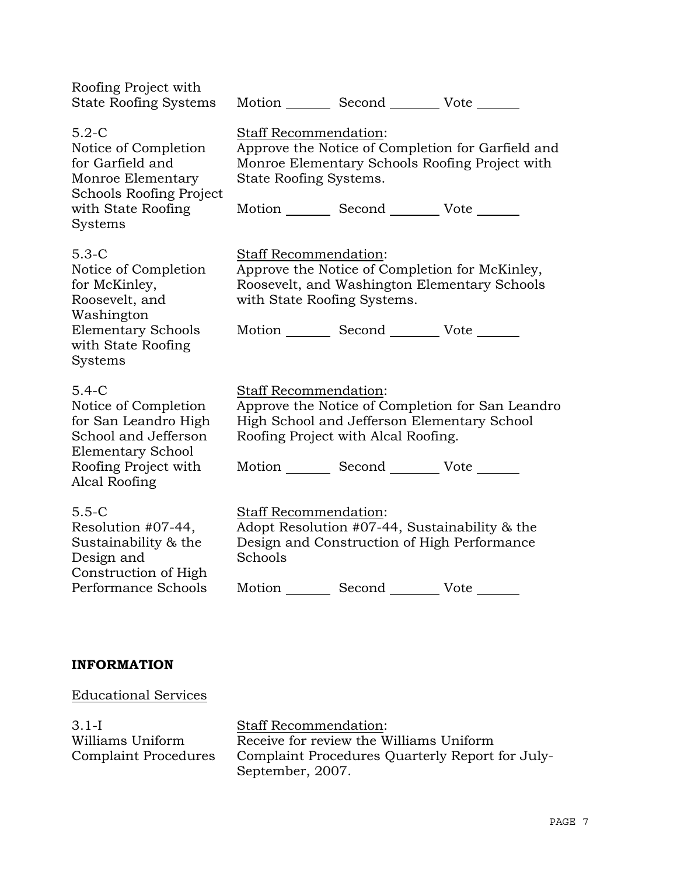| Roofing Project with<br><b>State Roofing Systems</b>                                                                                                 |                                                                                                                                                                                            | Motion _________ Second __________ Vote _______                                                          |                                                                                                     |
|------------------------------------------------------------------------------------------------------------------------------------------------------|--------------------------------------------------------------------------------------------------------------------------------------------------------------------------------------------|----------------------------------------------------------------------------------------------------------|-----------------------------------------------------------------------------------------------------|
| $5.2-C$<br>Notice of Completion<br>for Garfield and<br>Monroe Elementary<br>Schools Roofing Project<br>with State Roofing<br><b>Systems</b>          | Staff Recommendation:<br>State Roofing Systems.                                                                                                                                            | Motion _________ Second __________ Vote _______                                                          | Approve the Notice of Completion for Garfield and<br>Monroe Elementary Schools Roofing Project with |
| $5.3-C$<br>Notice of Completion<br>for McKinley,<br>Roosevelt, and<br>Washington<br><b>Elementary Schools</b><br>with State Roofing<br>Systems       | Staff Recommendation:<br>with State Roofing Systems.                                                                                                                                       | Motion _________ Second __________ Vote _______                                                          | Approve the Notice of Completion for McKinley,<br>Roosevelt, and Washington Elementary Schools      |
| $5.4-C$<br>Notice of Completion<br>for San Leandro High<br>School and Jefferson<br><b>Elementary School</b><br>Roofing Project with<br>Alcal Roofing | <b>Staff Recommendation:</b>                                                                                                                                                               | High School and Jefferson Elementary School<br>Roofing Project with Alcal Roofing.<br>Motion Second Vote | Approve the Notice of Completion for San Leandro                                                    |
| $5.5-C$<br>Resolution #07-44,<br>Sustainability & the<br>Design and<br>Construction of High<br>Performance Schools                                   | <b>Staff Recommendation:</b><br>Adopt Resolution #07-44, Sustainability & the<br>Design and Construction of High Performance<br>Schools<br>Motion _________ Second __________ Vote _______ |                                                                                                          |                                                                                                     |
|                                                                                                                                                      |                                                                                                                                                                                            |                                                                                                          |                                                                                                     |

# **INFORMATION**

Educational Services

3.1-I Williams Uniform Complaint Procedures Staff Recommendation: Receive for review the Williams Uniform Complaint Procedures Quarterly Report for July-September, 2007.